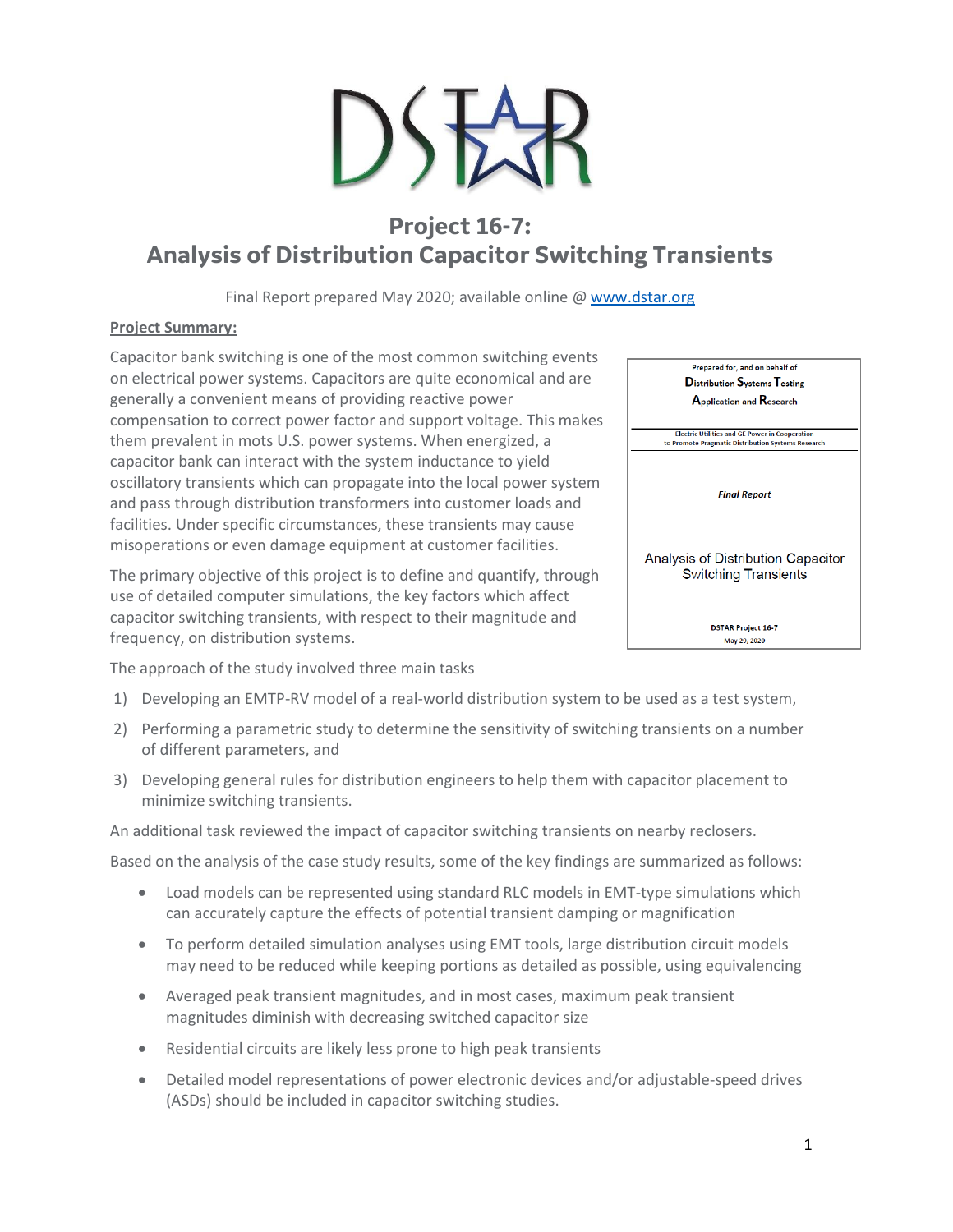# **Project 16-7: Analysis of Distribution Capacitor Switching Transients**

Final Report prepared May 2020; available online @ [www.dstar.org](http://www.dstar.org/research/project/109/P16-8-distribution-series-capacitor-application-considerations-and-recommendations)

### **Project Summary:**

Capacitor bank switching is one of the most common switching events on electrical power systems. Capacitors are quite economical and are generally a convenient means of providing reactive power compensation to correct power factor and support voltage. This makes them prevalent in mots U.S. power systems. When energized, a capacitor bank can interact with the system inductance to yield oscillatory transients which can propagate into the local power system and pass through distribution transformers into customer loads and facilities. Under specific circumstances, these transients may cause misoperations or even damage equipment at customer facilities.

The primary objective of this project is to define and quantify, through use of detailed computer simulations, the key factors which affect capacitor switching transients, with respect to their magnitude and frequency, on distribution systems.

Prepared for, and on behalf of **Distribution Systems Testing** Application and Research Electric Utilities and GE Power in Cooperation<br>to Promote Pragmatic Distribution Systems Research **Final Report** Analysis of Distribution Capacitor **Switching Transients DSTAR Project 16-7** May 29, 2020

The approach of the study involved three main tasks

- 1) Developing an EMTP-RV model of a real-world distribution system to be used as a test system,
- 2) Performing a parametric study to determine the sensitivity of switching transients on a number of different parameters, and
- 3) Developing general rules for distribution engineers to help them with capacitor placement to minimize switching transients.

An additional task reviewed the impact of capacitor switching transients on nearby reclosers.

Based on the analysis of the case study results, some of the key findings are summarized as follows:

- Load models can be represented using standard RLC models in EMT-type simulations which can accurately capture the effects of potential transient damping or magnification
- To perform detailed simulation analyses using EMT tools, large distribution circuit models may need to be reduced while keeping portions as detailed as possible, using equivalencing
- Averaged peak transient magnitudes, and in most cases, maximum peak transient magnitudes diminish with decreasing switched capacitor size
- Residential circuits are likely less prone to high peak transients
- Detailed model representations of power electronic devices and/or adjustable-speed drives (ASDs) should be included in capacitor switching studies.